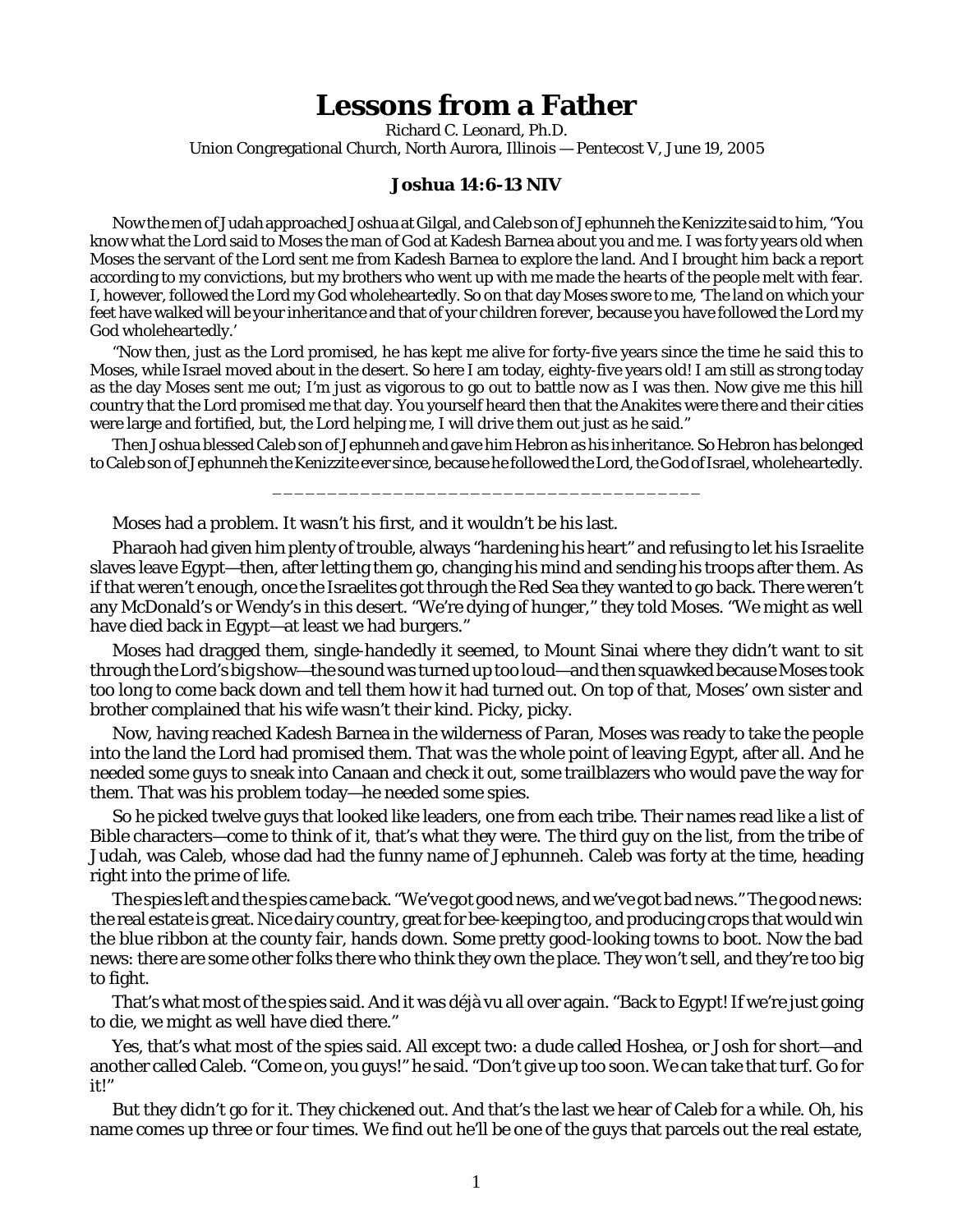## **Lessons from a Father**

Richard C. Leonard, Ph.D.

Union Congregational Church, North Aurora, Illinois — Pentecost V, June 19, 2005

## **Joshua 14:6-13 NIV**

Now the men of Judah approached Joshua at Gilgal, and Caleb son of Jephunneh the Kenizzite said to him, "You know what the Lord said to Moses the man of God at Kadesh Barnea about you and me. I was forty years old when Moses the servant of the Lord sent me from Kadesh Barnea to explore the land. And I brought him back a report according to my convictions, but my brothers who went up with me made the hearts of the people melt with fear. I, however, followed the Lord my God wholeheartedly. So on that day Moses swore to me, 'The land on which your feet have walked will be your inheritance and that of your children forever, because you have followed the Lord my God wholeheartedly.'

"Now then, just as the Lord promised, he has kept me alive for forty-five years since the time he said this to Moses, while Israel moved about in the desert. So here I am today, eighty-five years old! I am still as strong today as the day Moses sent me out; I'm just as vigorous to go out to battle now as I was then. Now give me this hill country that the Lord promised me that day. You yourself heard then that the Anakites were there and their cities were large and fortified, but, the Lord helping me, I will drive them out just as he said."

Then Joshua blessed Caleb son of Jephunneh and gave him Hebron as his inheritance. So Hebron has belonged to Caleb son of Jephunneh the Kenizzite ever since, because he followed the Lord, the God of Israel, wholeheartedly.

\_\_\_\_\_\_\_\_\_\_\_\_\_\_\_\_\_\_\_\_\_\_\_\_\_\_\_\_\_\_\_\_\_\_\_\_\_\_\_

Moses had a problem. It wasn't his first, and it wouldn't be his last.

Pharaoh had given him plenty of trouble, always "hardening his heart" and refusing to let his Israelite slaves leave Egypt—then, after letting them go, changing his mind and sending his troops after them. As if that weren't enough, once the Israelites got through the Red Sea *they* wanted to go back. There weren't any McDonald's or Wendy's in this desert. "We're dying of hunger," they told Moses. "We might as well have died back in Egypt—at least we had burgers."

Moses had dragged them, single-handedly it seemed, to Mount Sinai where they didn't want to sit through the Lord's big show—the sound was turned up too loud—and then squawked because Moses took too long to come back down and tell them how it had turned out. On top of that, Moses' own sister and brother complained that his wife wasn't their kind. Picky, picky.

Now, having reached Kadesh Barnea in the wilderness of Paran, Moses was ready to take the people into the land the Lord had promised them. That *was* the whole point of leaving Egypt, after all. And he needed some guys to sneak into Canaan and check it out, some trailblazers who would pave the way for them. That was his problem today—he needed some spies.

So he picked twelve guys that looked like leaders, one from each tribe. Their names read like a list of Bible characters—come to think of it, that's what they were. The third guy on the list, from the tribe of Judah, was Caleb, whose dad had the funny name of Jephunneh. Caleb was forty at the time, heading right into the prime of life.

The spies left and the spies came back. "We've got good news, and we've got bad news." The good news: the real estate is great. Nice dairy country, great for bee-keeping too, and producing crops that would win the blue ribbon at the county fair, hands down. Some pretty good-looking towns to boot. Now the bad news: there are some other folks there who think they own the place. They won't sell, and they're too big to fight.

That's what most of the spies said. And it was déjà vu all over again. "Back to Egypt! If we're just going to die, we might as well have died there."

Yes, that's what most of the spies said. All except two: a dude called Hoshea, or Josh for short—and another called Caleb. "Come on, you guys!" he said. "Don't give up too soon. We can take that turf. Go for it!"

But they didn't go for it. They chickened out. And that's the last we hear of Caleb for a while. Oh, his name comes up three or four times. We find out he'll be one of the guys that parcels out the real estate,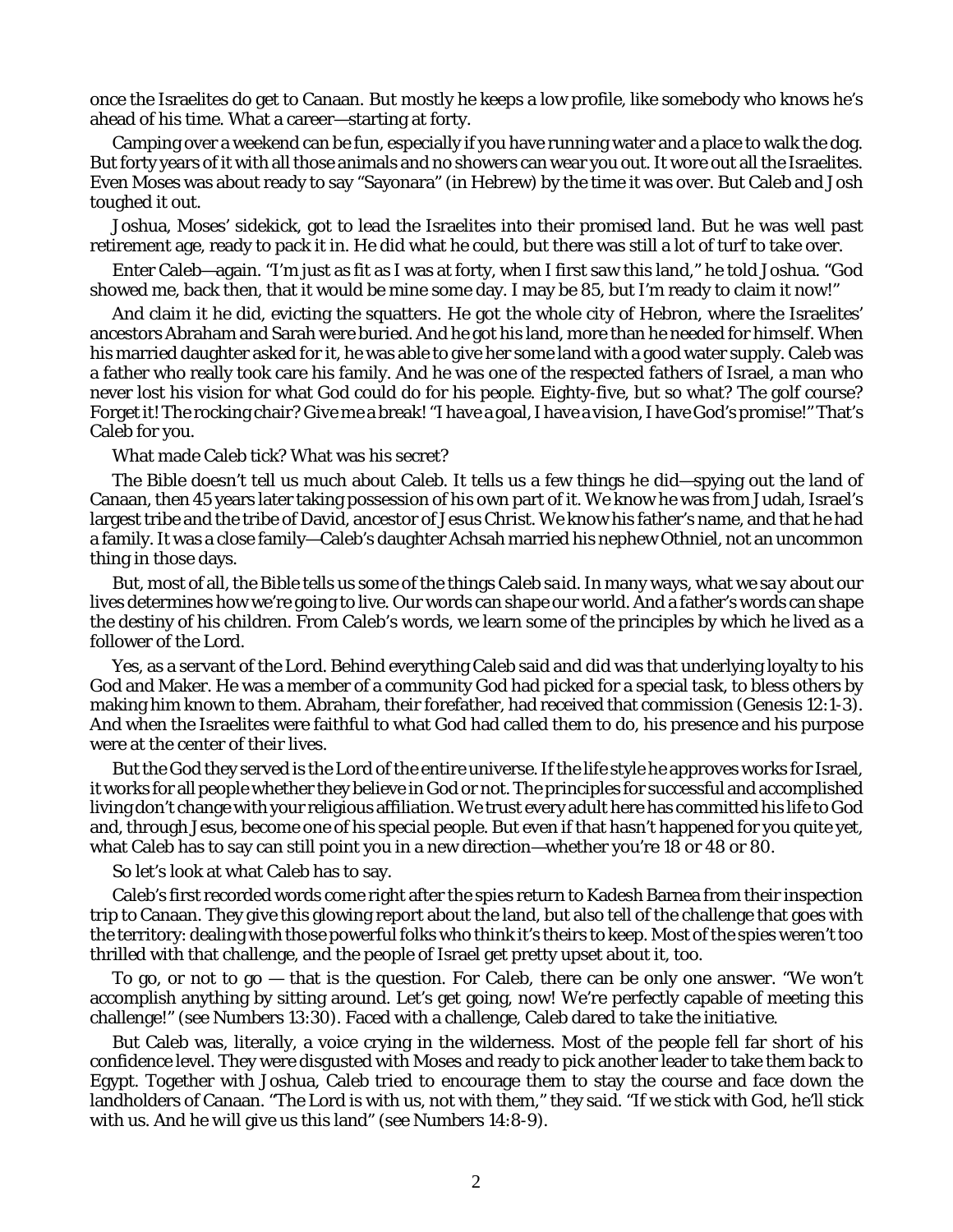once the Israelites do get to Canaan. But mostly he keeps a low profile, like somebody who knows he's ahead of his time. What a career—starting at forty.

Camping over a weekend can be fun, especially if you have running water and a place to walk the dog. But forty years of it with all those animals and no showers can wear you out. It wore out all the Israelites. Even Moses was about ready to say "Sayonara" (in Hebrew) by the time it was over. But Caleb and Josh toughed it out.

Joshua, Moses' sidekick, got to lead the Israelites into their promised land. But he was well past retirement age, ready to pack it in. He did what he could, but there was still a lot of turf to take over.

Enter Caleb—again. "I'm just as fit as I was at forty, when I first saw this land," he told Joshua. "God showed me, back then, that it would be mine some day. I may be 85, but I'm ready to claim it now!"

And claim it he did, evicting the squatters. He got the whole city of Hebron, where the Israelites' ancestors Abraham and Sarah were buried. And he got his land, more than he needed for himself. When his married daughter asked for it, he was able to give her some land with a good water supply. Caleb was a father who really took care his family. And he was one of the respected fathers of Israel, a man who never lost his vision for what God could do for his people. Eighty-five, but so what? The golf course? Forget it! The rocking chair? Give me a break! "I have a goal, I have a vision, I have God's promise!" That's Caleb for you.

What made Caleb tick? What was his secret?

The Bible doesn't tell us much about Caleb. It tells us a few things he did—spying out the land of Canaan, then 45 years later taking possession of his own part of it. We know he was from Judah, Israel's largest tribe and the tribe of David, ancestor of Jesus Christ. We know his father's name, and that he had a family. It was a close family—Caleb's daughter Achsah married his nephew Othniel, not an uncommon thing in those days.

But, most of all, the Bible tells us some of the things Caleb *said.* In many ways, what we *say* about our lives determines how we're going to live. Our words can shape our world. And a father's words can shape the destiny of his children. From Caleb's words, we learn some of the principles by which he lived as a follower of the Lord.

Yes, as a servant of *the Lord*. Behind everything Caleb said and did was that underlying loyalty to his God and Maker. He was a member of a community God had picked for a special task, to bless others by making him known to them. Abraham, their forefather, had received that commission (Genesis 12:1-3). And when the Israelites were faithful to what God had called them to do, his presence and his purpose were at the center of their lives.

But the God they served is the Lord of the entire universe. If the life style he approves works for Israel, it works for all people whether they believe in God or not. The principles for successful and accomplished living don't change with your religious affiliation. We trust every adult here has committed his life to God and, through Jesus, become one of his special people. But even if that hasn't happened for you quite yet, what Caleb has to say can still point you in a new direction—whether you're 18 or 48 or 80.

So let's look at what Caleb has to say.

Caleb's first recorded words come right after the spies return to Kadesh Barnea from their inspection trip to Canaan. They give this glowing report about the land, but also tell of the challenge that goes with the territory: dealing with those powerful folks who think it's theirs to keep. Most of the spies weren't too thrilled with that challenge, and the people of Israel get pretty upset about it, too.

To go, or not to go — that is the question. For Caleb, there can be only one answer. "We won't accomplish anything by sitting around. Let's get going, now! We're perfectly capable of meeting this challenge!" (see Numbers 13:30). Faced with a challenge, Caleb dared to *take the initiative.*

But Caleb was, literally, a voice crying in the wilderness. Most of the people fell far short of his confidence level. They were disgusted with Moses and ready to pick another leader to take them back to Egypt. Together with Joshua, Caleb tried to encourage them to stay the course and face down the landholders of Canaan. "The Lord is with *us*, not with *them*," they said. "If we stick with God, he'll stick with us. And he *will* give us this land" (see Numbers 14:8-9).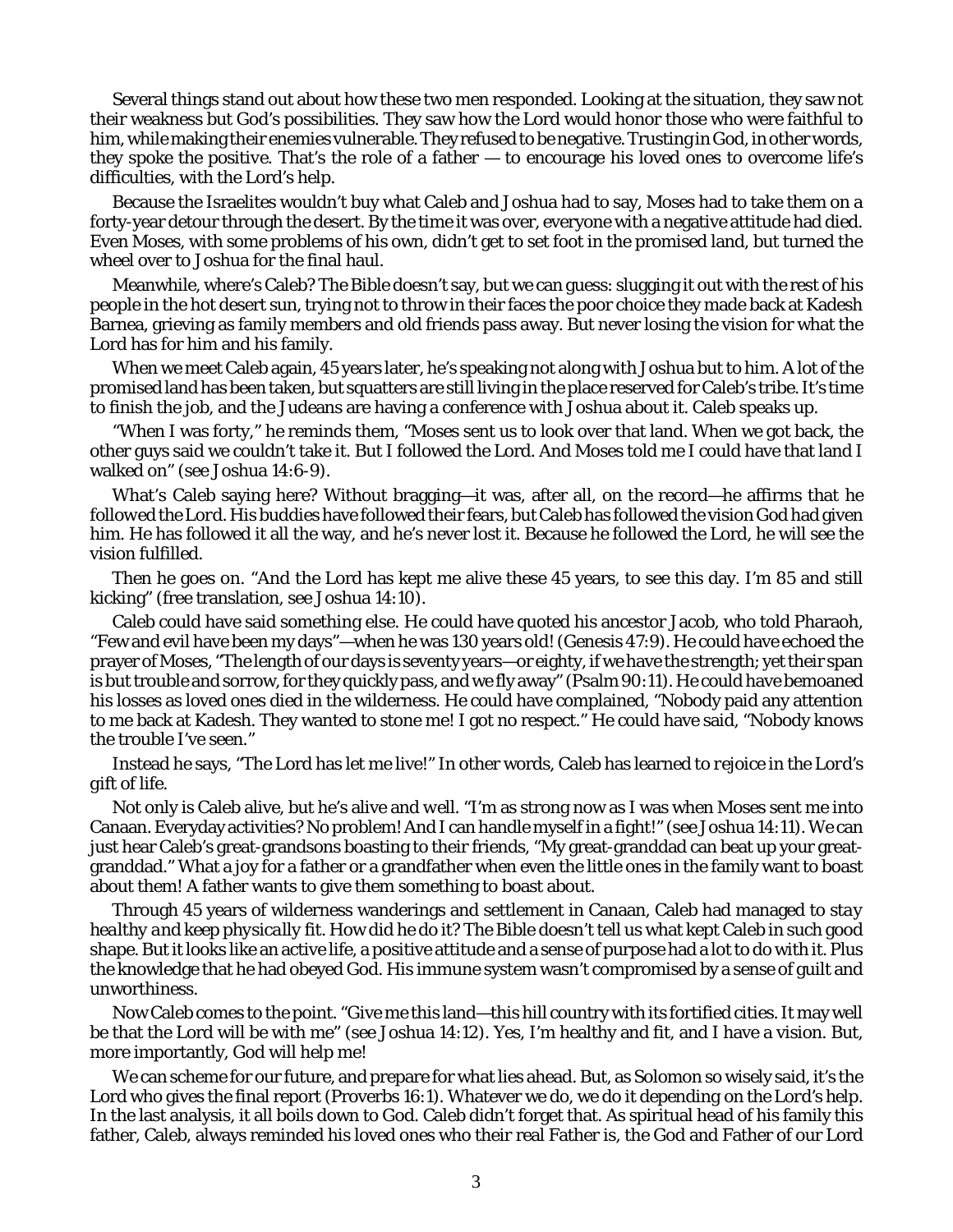Several things stand out about how these two men responded. Looking at the situation, they saw not their weakness but God's possibilities. They saw how the Lord would honor those who were faithful to him, while making their enemies vulnerable. They refused to be negative. Trusting in God, in other words, they *spoke the positive.* That's the role of a father — to encourage his loved ones to overcome life's difficulties, with the Lord's help.

Because the Israelites wouldn't buy what Caleb and Joshua had to say, Moses had to take them on a forty-year detour through the desert. By the time it was over, everyone with a negative attitude had died. Even Moses, with some problems of his own, didn't get to set foot in the promised land, but turned the wheel over to Joshua for the final haul.

Meanwhile, where's Caleb? The Bible doesn't say, but we can guess: slugging it out with the rest of his people in the hot desert sun, trying not to throw in their faces the poor choice they made back at Kadesh Barnea, grieving as family members and old friends pass away. But never losing the vision for what the Lord has for him and his family.

When we meet Caleb again, 45 years later, he's speaking not along with Joshua but *to* him. A lot of the promised land has been taken, but squatters are still living in the place reserved for Caleb's tribe. It's time to finish the job, and the Judeans are having a conference with Joshua about it. Caleb speaks up.

"When I was forty," he reminds them, "Moses sent us to look over that land. When we got back, the other guys said we couldn't take it. But I followed the Lord. And Moses told me I could have that land I walked on" (see Joshua 14:6-9).

What's Caleb saying here? Without bragging—it was, after all, on the record—he affirms that *he followed the Lord.* His buddies have followed their fears, but Caleb has followed the vision God had given him. He has followed it all the way, and he's never lost it. Because he followed the Lord, he will see the vision fulfilled.

Then he goes on. "And the Lord has kept me alive these 45 years, to see this day. I'm 85 and still kicking" (free translation, see Joshua 14:10).

Caleb could have said something else. He could have quoted his ancestor Jacob, who told Pharaoh, "Few and evil have been my days"—when he was 130 years old! (Genesis 47:9). He could have echoed the prayer of Moses, "The length of our days is seventy years—or eighty, if we have the strength; yet their span is but trouble and sorrow, for they quickly pass, and we fly away" (Psalm 90:11). He could have bemoaned his losses as loved ones died in the wilderness. He could have complained, "Nobody paid any attention to me back at Kadesh. They wanted to stone me! I got no respect." He could have said, "Nobody knows the trouble I've seen."

Instead he says, "The Lord has let me live!" In other words, Caleb has learned to *rejoice in the Lord's gift of life.*

Not only is Caleb alive, but he's alive and *well*. "I'm as strong now as I was when Moses sent me into Canaan. Everyday activities? No problem! And I can handle myself in a fight!" (see Joshua 14:11). We can just hear Caleb's great-grandsons boasting to their friends, "My great-granddad can beat up your greatgranddad." What a joy for a father or a grandfather when even the little ones in the family want to boast about them! A father wants to give them something to boast about.

Through 45 years of wilderness wanderings and settlement in Canaan, Caleb had managed to *stay healthy and keep physically fit.* How did he do it? The Bible doesn't tell us what kept Caleb in such good shape. But it looks like an active life, a positive attitude and a sense of purpose had a lot to do with it. Plus the knowledge that he had obeyed God. His immune system wasn't compromised by a sense of guilt and unworthiness.

Now Caleb comes to the point. "Give me this land—this hill country with its fortified cities. It may well be that the Lord will be with me" (see Joshua 14:12). Yes, I'm healthy and fit, and I have a vision. But, more importantly, God will help me!

We can scheme for our future, and prepare for what lies ahead. But, as Solomon so wisely said, it's the Lord who gives the final report (Proverbs 16:1). Whatever we do, we do it *depending on the Lord's help.* In the last analysis, it all boils down to God. Caleb didn't forget that. As spiritual head of his family this father, Caleb, always reminded his loved ones who their real Father is, the God and Father of our Lord